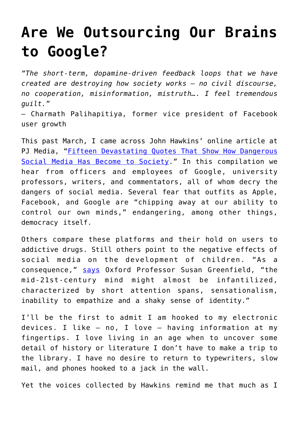## **[Are We Outsourcing Our Brains](https://intellectualtakeout.org/2019/05/are-we-outsourcing-our-brains-to-google/) [to Google?](https://intellectualtakeout.org/2019/05/are-we-outsourcing-our-brains-to-google/)**

*"The short-term, dopamine-driven feedback loops that we have created are destroying how society works — no civil discourse, no cooperation, misinformation, mistruth…. I feel tremendous guilt."*

*–* Charmath Palihapitiya, former vice president of Facebook user growth

This past March, I came across John Hawkins' online article at PJ Media, "[Fifteen Devastating Quotes That Show How Dangerous](https://pjmedia.com/trending/15-devastating-quotes-that-show-you-how-dangerous-social-media-has-become-to-our-society/) [Social Media Has Become to Society.](https://pjmedia.com/trending/15-devastating-quotes-that-show-you-how-dangerous-social-media-has-become-to-our-society/)" In this compilation we hear from officers and employees of Google, university professors, writers, and commentators, all of whom decry the dangers of social media. Several fear that outfits as Apple, Facebook, and Google are "chipping away at our ability to control our own minds," endangering, among other things, democracy itself.

Others compare these platforms and their hold on users to addictive drugs. Still others point to the negative effects of social media on the development of children. "As a consequence," [says](https://pjmedia.com/trending/15-devastating-quotes-that-show-you-how-dangerous-social-media-has-become-to-our-society/) Oxford Professor Susan Greenfield, "the mid-21st-century mind might almost be infantilized, characterized by short attention spans, sensationalism, inability to empathize and a shaky sense of identity."

I'll be the first to admit I am hooked to my electronic devices. I like — no, I love — having information at my fingertips. I love living in an age when to uncover some detail of history or literature I don't have to make a trip to the library. I have no desire to return to typewriters, slow mail, and phones hooked to a jack in the wall.

Yet the voices collected by Hawkins remind me that much as I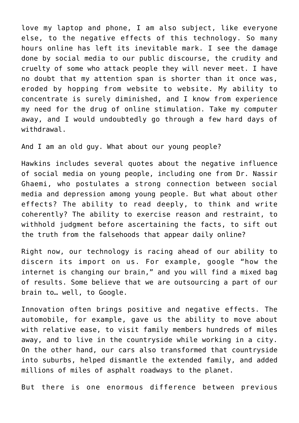love my laptop and phone, I am also subject, like everyone else, to the negative effects of this technology. So many hours online has left its inevitable mark. I see the damage done by social media to our public discourse, the crudity and cruelty of some who attack people they will never meet. I have no doubt that my attention span is shorter than it once was, eroded by hopping from website to website. My ability to concentrate is surely diminished, and I know from experience my need for the drug of online stimulation. Take my computer away, and I would undoubtedly go through a few hard days of withdrawal.

And I am an old guy. What about our young people?

Hawkins includes several quotes about the negative influence of social media on young people, including one from Dr. Nassir Ghaemi, who postulates a strong connection between social media and depression among young people. But what about other effects? The ability to read deeply, to think and write coherently? The ability to exercise reason and restraint, to withhold judgment before ascertaining the facts, to sift out the truth from the falsehoods that appear daily online?

Right now, our technology is racing ahead of our ability to discern its import on us. For example, google "how the internet is changing our brain," and you will find a mixed bag of results. Some believe that we are outsourcing a part of our brain to… well, to Google.

Innovation often brings positive and negative effects. The automobile, for example, gave us the ability to move about with relative ease, to visit family members hundreds of miles away, and to live in the countryside while working in a city. On the other hand, our cars also transformed that countryside into suburbs, helped dismantle the extended family, and added millions of miles of asphalt roadways to the planet.

But there is one enormous difference between previous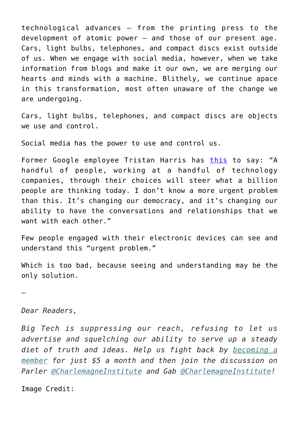technological advances — from the printing press to the development of atomic power — and those of our present age. Cars, light bulbs, telephones, and compact discs exist outside of us. When we engage with social media, however, when we take information from blogs and make it our own, we are merging our hearts and minds with a machine. Blithely, we continue apace in this transformation, most often unaware of the change we are undergoing.

Cars, light bulbs, telephones, and compact discs are objects we use and control.

Social media has the power to use and control us.

Former Google employee Tristan Harris has [this](https://pjmedia.com/trending/15-devastating-quotes-that-show-you-how-dangerous-social-media-has-become-to-our-society/) to say: "A handful of people, working at a handful of technology companies, through their choices will steer what a billion people are thinking today. I don't know a more urgent problem than this. It's changing our democracy, and it's changing our ability to have the conversations and relationships that we want with each other."

Few people engaged with their electronic devices can see and understand this "urgent problem."

Which is too bad, because seeing and understanding may be the only solution.

—

*Dear Readers,*

*Big Tech is suppressing our reach, refusing to let us advertise and squelching our ability to serve up a steady diet of truth and ideas. Help us fight back by [becoming a](https://www.chroniclesmagazine.org/subscribe/) [member](https://www.chroniclesmagazine.org/subscribe/) for just \$5 a month and then join the discussion on Parler [@CharlemagneInstitute](https://parler.com/profile/CharlemagneInstitute) and Gab [@CharlemagneInstitute](https://gab.com/CharlemagneInstitute)!*

Image Credit: